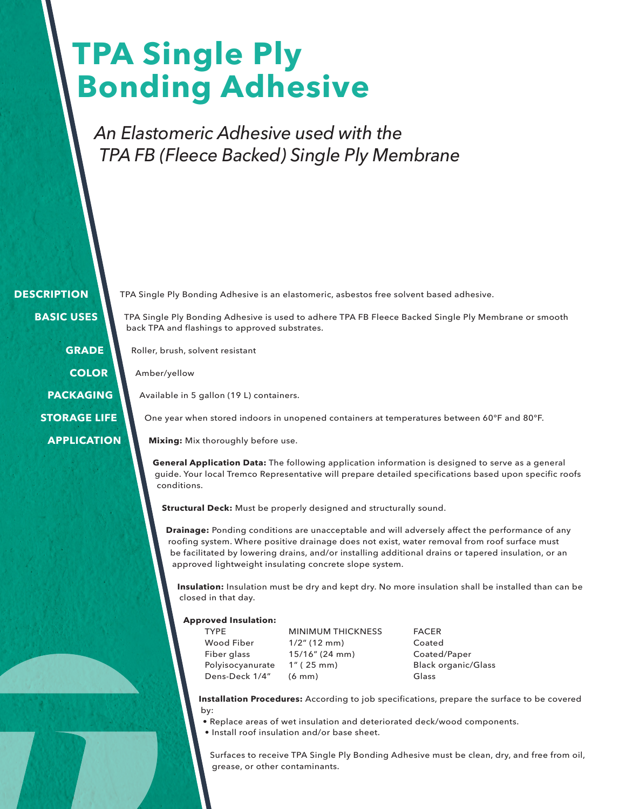# **TPA Single Ply Bonding Adhesive**

*An Elastomeric Adhesive used with the TPA FB (Fleece Backed) Single Ply Membrane*

 **DESCRIPTION BASIC USES**

> **GRADE COLOR PACKAGING STORAGE LIFE APPLICATION**

TPA Single Ply Bonding Adhesive is an elastomeric, asbestos free solvent based adhesive.

TPA Single Ply Bonding Adhesive is used to adhere TPA FB Fleece Backed Single Ply Membrane or smooth back TPA and flashings to approved substrates.

Roller, brush, solvent resistant

Amber/yellow

Available in 5 gallon (19 L) containers.

One year when stored indoors in unopened containers at temperatures between 60°F and 80°F.

**Mixing:** Mix thoroughly before use.

**General Application Data:** The following application information is designed to serve as a general guide. Your local Tremco Representative will prepare detailed specifications based upon specific roofs conditions.

**Structural Deck:** Must be properly designed and structurally sound.

**Drainage:** Ponding conditions are unacceptable and will adversely affect the performance of any roofing system. Where positive drainage does not exist, water removal from roof surface must be facilitated by lowering drains, and/or installing additional drains or tapered insulation, or an approved lightweight insulating concrete slope system.

**Insulation:** Insulation must be dry and kept dry. No more insulation shall be installed than can be closed in that day.

#### **Approved Insulation:**

| <b>TYPF</b>      |
|------------------|
| Wood Fiber       |
| Fiber glass      |
| Polyisocyanurate |
| Dens-Deck 1/4"   |

MINIMUM THICKNESS FACER 1/2" (12 mm) Coated 15/16" (24 mm) Coated/Paper  $(6 \text{ mm})$  Glass

1" (25 mm) Black organic/Glass

**Installation Procedures:** According to job specifications, prepare the surface to be covered by:

• Replace areas of wet insulation and deteriorated deck/wood components.

• Install roof insulation and/or base sheet.

Surfaces to receive TPA Single Ply Bonding Adhesive must be clean, dry, and free from oil, grease, or other contaminants.